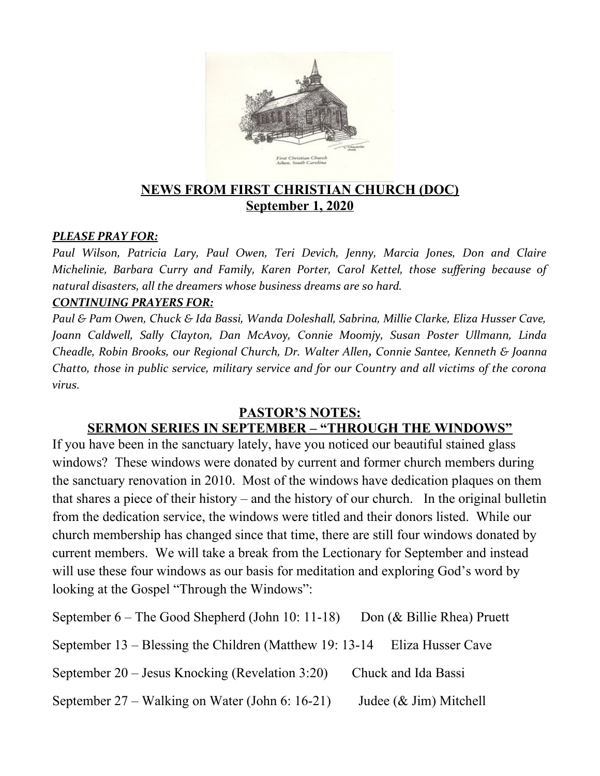

## **NEWS FROM FIRST CHRISTIAN CHURCH (DOC) September 1, 2020**

#### *PLEASE PRAY FOR:*

*Paul Wilson, Patricia Lary, Paul Owen, Teri Devich, Jenny, Marcia Jones, Don and Claire Michelinie, Barbara Curry and Family, Karen Porter, Carol Kettel, those suffering because of natural disasters, all the dreamers whose business dreams are so hard.*

#### *CONTINUING PRAYERS FOR:*

*Paul & Pam Owen, Chuck & Ida Bassi, Wanda Doleshall, Sabrina, Millie Clarke, Eliza Husser Cave, Joann Caldwell, Sally Clayton, Dan McAvoy, Connie Moomjy, Susan Poster Ullmann, Linda Cheadle, Robin Brooks, our Regional Church, Dr. Walter Allen, Connie Santee, Kenneth & Joanna Chatto, those in public service, military service and for our Country and all victims of the corona virus.* 

#### **PASTOR'S NOTES:**

### **SERMON SERIES IN SEPTEMBER – "THROUGH THE WINDOWS"**

If you have been in the sanctuary lately, have you noticed our beautiful stained glass windows? These windows were donated by current and former church members during the sanctuary renovation in 2010. Most of the windows have dedication plaques on them that shares a piece of their history – and the history of our church. In the original bulletin from the dedication service, the windows were titled and their donors listed. While our church membership has changed since that time, there are still four windows donated by current members. We will take a break from the Lectionary for September and instead will use these four windows as our basis for meditation and exploring God's word by looking at the Gospel "Through the Windows":

September 6 – The Good Shepherd (John 10: 11-18) Don (& Billie Rhea) Pruett September 13 – Blessing the Children (Matthew 19: 13-14 Eliza Husser Cave September 20 – Jesus Knocking (Revelation 3:20) Chuck and Ida Bassi September  $27 -$  Walking on Water (John 6: 16-21) Judee (& Jim) Mitchell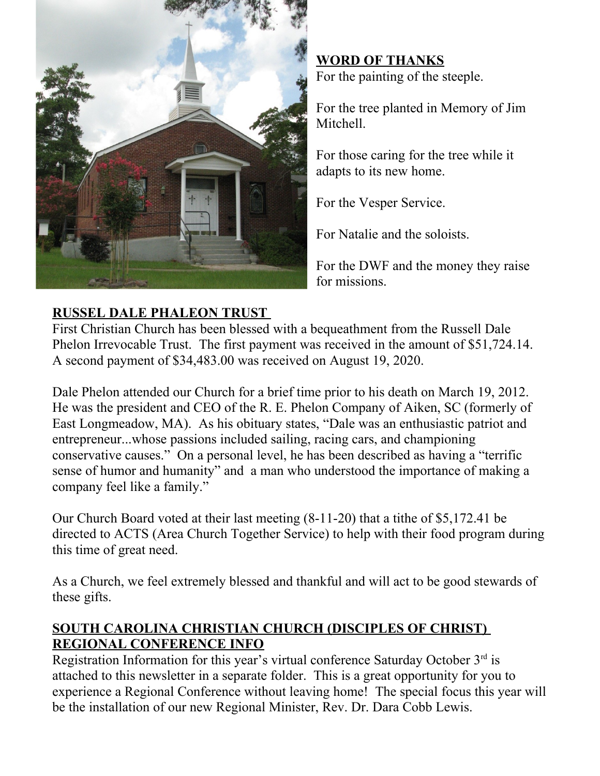

**WORD OF THANKS** For the painting of the steeple.

For the tree planted in Memory of Jim Mitchell.

For those caring for the tree while it adapts to its new home.

For the Vesper Service.

For Natalie and the soloists.

For the DWF and the money they raise for missions.

# **RUSSEL DALE PHALEON TRUST**

First Christian Church has been blessed with a bequeathment from the Russell Dale Phelon Irrevocable Trust. The first payment was received in the amount of \$51,724.14. A second payment of \$34,483.00 was received on August 19, 2020.

Dale Phelon attended our Church for a brief time prior to his death on March 19, 2012. He was the president and CEO of the R. E. Phelon Company of Aiken, SC (formerly of East Longmeadow, MA). As his obituary states, "Dale was an enthusiastic patriot and entrepreneur...whose passions included sailing, racing cars, and championing conservative causes." On a personal level, he has been described as having a "terrific sense of humor and humanity" and a man who understood the importance of making a company feel like a family."

Our Church Board voted at their last meeting (8-11-20) that a tithe of \$5,172.41 be directed to ACTS (Area Church Together Service) to help with their food program during this time of great need.

As a Church, we feel extremely blessed and thankful and will act to be good stewards of these gifts.

## **SOUTH CAROLINA CHRISTIAN CHURCH (DISCIPLES OF CHRIST) REGIONAL CONFERENCE INFO**

Registration Information for this year's virtual conference Saturday October  $3<sup>rd</sup>$  is attached to this newsletter in a separate folder. This is a great opportunity for you to experience a Regional Conference without leaving home! The special focus this year will be the installation of our new Regional Minister, Rev. Dr. Dara Cobb Lewis.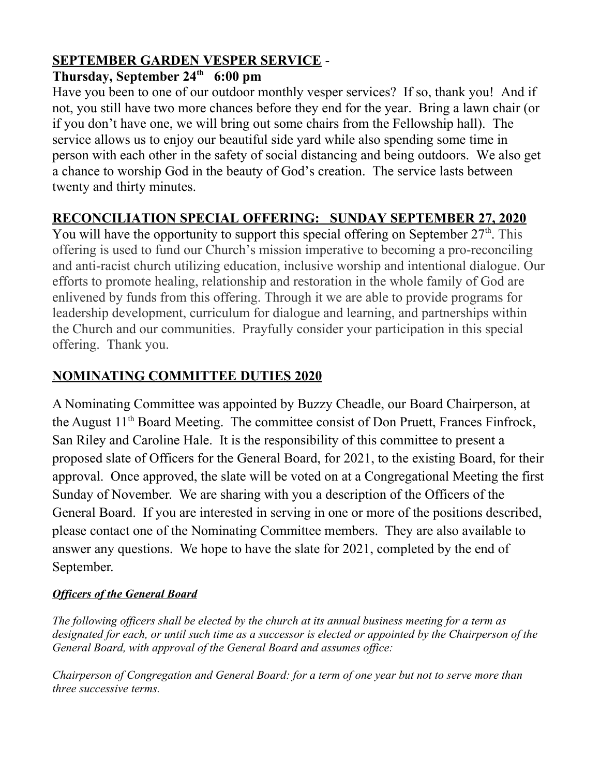# **SEPTEMBER GARDEN VESPER SERVICE** -

## **Thursday, September 24th 6:00 pm**

Have you been to one of our outdoor monthly vesper services? If so, thank you! And if not, you still have two more chances before they end for the year. Bring a lawn chair (or if you don't have one, we will bring out some chairs from the Fellowship hall). The service allows us to enjoy our beautiful side yard while also spending some time in person with each other in the safety of social distancing and being outdoors. We also get a chance to worship God in the beauty of God's creation. The service lasts between twenty and thirty minutes.

## **RECONCILIATION SPECIAL OFFERING: SUNDAY SEPTEMBER 27, 2020**

You will have the opportunity to support this special offering on September  $27<sup>th</sup>$ . This offering is used to fund our Church's mission imperative to becoming a pro-reconciling and anti-racist church utilizing education, inclusive worship and intentional dialogue. Our efforts to promote healing, relationship and restoration in the whole family of God are enlivened by funds from this offering. Through it we are able to provide programs for leadership development, curriculum for dialogue and learning, and partnerships within the Church and our communities. Prayfully consider your participation in this special offering. Thank you.

## **NOMINATING COMMITTEE DUTIES 2020**

A Nominating Committee was appointed by Buzzy Cheadle, our Board Chairperson, at the August  $11<sup>th</sup>$  Board Meeting. The committee consist of Don Pruett, Frances Finfrock, San Riley and Caroline Hale. It is the responsibility of this committee to present a proposed slate of Officers for the General Board, for 2021, to the existing Board, for their approval. Once approved, the slate will be voted on at a Congregational Meeting the first Sunday of November. We are sharing with you a description of the Officers of the General Board. If you are interested in serving in one or more of the positions described, please contact one of the Nominating Committee members. They are also available to answer any questions. We hope to have the slate for 2021, completed by the end of September.

#### *Officers of the General Board*

*The following officers shall be elected by the church at its annual business meeting for a term as designated for each, or until such time as a successor is elected or appointed by the Chairperson of the General Board, with approval of the General Board and assumes office:*

*Chairperson of Congregation and General Board: for a term of one year but not to serve more than three successive terms.*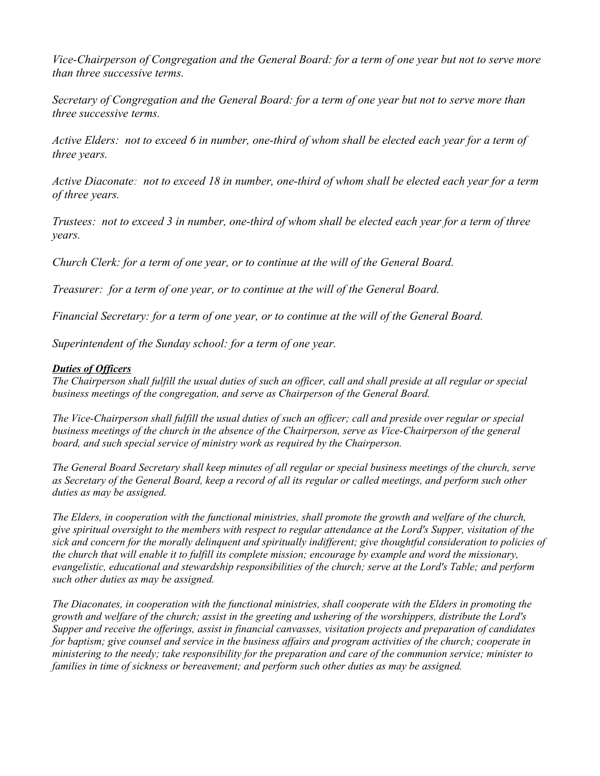*Vice-Chairperson of Congregation and the General Board: for a term of one year but not to serve more than three successive terms.*

*Secretary of Congregation and the General Board: for a term of one year but not to serve more than three successive terms.*

*Active Elders: not to exceed 6 in number, one-third of whom shall be elected each year for a term of three years.*

*Active Diaconate: not to exceed 18 in number, one-third of whom shall be elected each year for a term of three years.*

*Trustees: not to exceed 3 in number, one-third of whom shall be elected each year for a term of three years.*

*Church Clerk: for a term of one year, or to continue at the will of the General Board.*

*Treasurer: for a term of one year, or to continue at the will of the General Board.*

*Financial Secretary: for a term of one year, or to continue at the will of the General Board.*

*Superintendent of the Sunday school: for a term of one year.*

#### *Duties of Officers*

*The Chairperson shall fulfill the usual duties of such an officer, call and shall preside at all regular or special business meetings of the congregation, and serve as Chairperson of the General Board.*

*The Vice-Chairperson shall fulfill the usual duties of such an officer; call and preside over regular or special business meetings of the church in the absence of the Chairperson, serve as Vice-Chairperson of the general board, and such special service of ministry work as required by the Chairperson.*

*The General Board Secretary shall keep minutes of all regular or special business meetings of the church, serve as Secretary of the General Board, keep a record of all its regular or called meetings, and perform such other duties as may be assigned.*

*The Elders, in cooperation with the functional ministries, shall promote the growth and welfare of the church, give spiritual oversight to the members with respect to regular attendance at the Lord's Supper, visitation of the sick and concern for the morally delinquent and spiritually indifferent; give thoughtful consideration to policies of the church that will enable it to fulfill its complete mission; encourage by example and word the missionary, evangelistic, educational and stewardship responsibilities of the church; serve at the Lord's Table; and perform such other duties as may be assigned.*

*The Diaconates, in cooperation with the functional ministries, shall cooperate with the Elders in promoting the growth and welfare of the church; assist in the greeting and ushering of the worshippers, distribute the Lord's Supper and receive the offerings, assist in financial canvasses, visitation projects and preparation of candidates for baptism; give counsel and service in the business affairs and program activities of the church; cooperate in ministering to the needy; take responsibility for the preparation and care of the communion service; minister to families in time of sickness or bereavement; and perform such other duties as may be assigned.*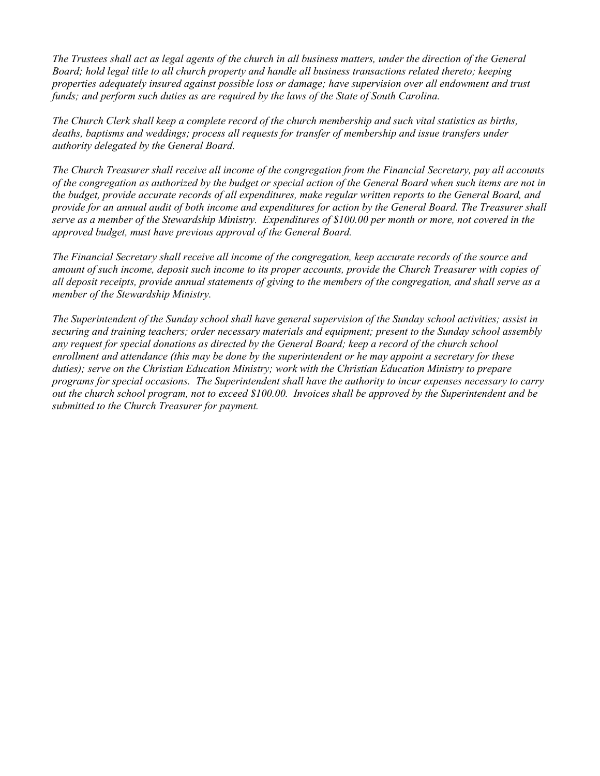*The Trustees shall act as legal agents of the church in all business matters, under the direction of the General Board; hold legal title to all church property and handle all business transactions related thereto; keeping properties adequately insured against possible loss or damage; have supervision over all endowment and trust funds; and perform such duties as are required by the laws of the State of South Carolina.*

*The Church Clerk shall keep a complete record of the church membership and such vital statistics as births, deaths, baptisms and weddings; process all requests for transfer of membership and issue transfers under authority delegated by the General Board.*

*The Church Treasurer shall receive all income of the congregation from the Financial Secretary, pay all accounts of the congregation as authorized by the budget or special action of the General Board when such items are not in the budget, provide accurate records of all expenditures, make regular written reports to the General Board, and provide for an annual audit of both income and expenditures for action by the General Board. The Treasurer shall serve as a member of the Stewardship Ministry. Expenditures of \$100.00 per month or more, not covered in the approved budget, must have previous approval of the General Board.*

*The Financial Secretary shall receive all income of the congregation, keep accurate records of the source and amount of such income, deposit such income to its proper accounts, provide the Church Treasurer with copies of all deposit receipts, provide annual statements of giving to the members of the congregation, and shall serve as a member of the Stewardship Ministry.*

*The Superintendent of the Sunday school shall have general supervision of the Sunday school activities; assist in securing and training teachers; order necessary materials and equipment; present to the Sunday school assembly any request for special donations as directed by the General Board; keep a record of the church school enrollment and attendance (this may be done by the superintendent or he may appoint a secretary for these duties); serve on the Christian Education Ministry; work with the Christian Education Ministry to prepare programs for special occasions. The Superintendent shall have the authority to incur expenses necessary to carry out the church school program, not to exceed \$100.00. Invoices shall be approved by the Superintendent and be submitted to the Church Treasurer for payment.*